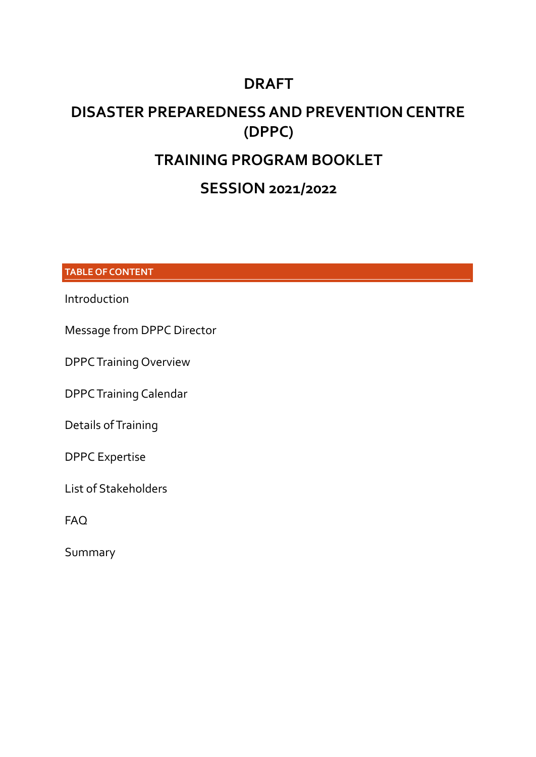## **DRAFT**

# **DISASTER PREPAREDNESS AND PREVENTION CENTRE (DPPC)**

# **TRAINING PROGRAM BOOKLET**

## **SESSION 2021/2022**

**TABLE OF CONTENT**

Introduction

Message from DPPC Director

DPPCTraining Overview

DPPCTraining Calendar

Details of Training

DPPC Expertise

List of Stakeholders

FAQ

Summary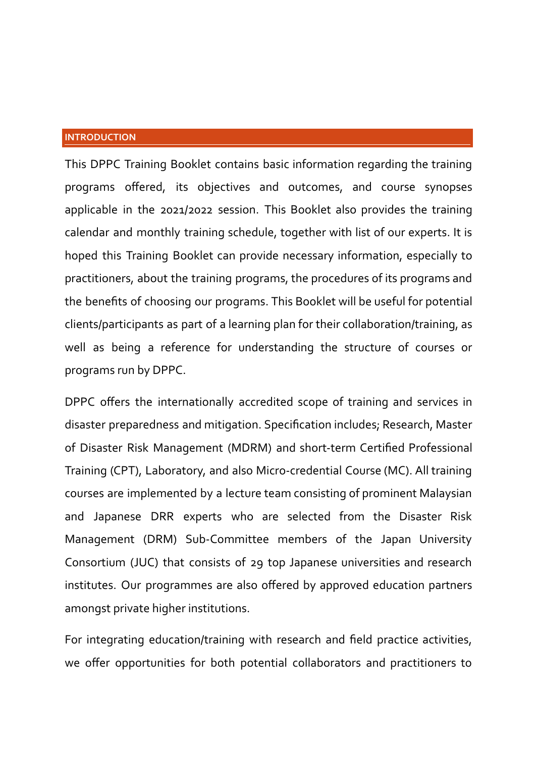#### **INTRODUCTION**

This DPPC Training Booklet contains basic information regarding the training programs offered, its objectives and outcomes, and course synopses applicable in the 2021/2022 session. This Booklet also provides the training calendar and monthly training schedule, together with list of our experts. It is hoped this Training Booklet can provide necessary information, especially to practitioners, about the training programs, the procedures of its programs and the benefits of choosing our programs. This Booklet will be useful for potential clients/participants as part of a learning plan for their collaboration/training, as well as being a reference for understanding the structure of courses or programs run by DPPC.

DPPC offers the internationally accredited scope of training and services in disaster preparedness and mitigation. Specification includes; Research, Master of Disaster Risk Management (MDRM) and short-term Certified Professional Training (CPT), Laboratory, and also Micro-credential Course (MC). All training courses are implemented by a lecture team consisting of prominent Malaysian and Japanese DRR experts who are selected from the Disaster Risk Management (DRM) Sub-Committee members of the Japan University Consortium (JUC) that consists of 29 top Japanese universities and research institutes. Our programmes are also offered by approved education partners amongst private higher institutions.

For integrating education/training with research and field practice activities, we offer opportunities for both potential collaborators and practitioners to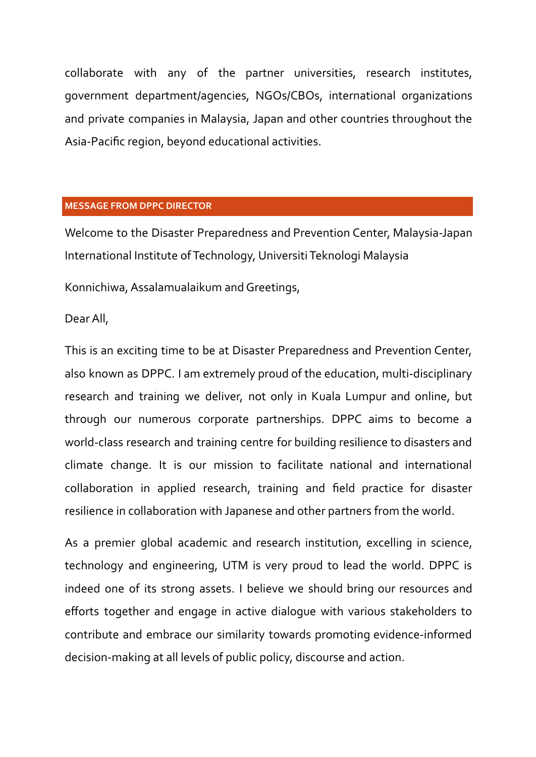collaborate with any of the partner universities, research institutes, government department/agencies, NGOs/CBOs, international organizations and private companies in Malaysia, Japan and other countries throughout the Asia-Pacific region, beyond educational activities.

#### **MESSAGE FROM DPPC DIRECTOR**

Welcome to the Disaster Preparedness and Prevention Center, Malaysia-Japan International Institute ofTechnology, UniversitiTeknologi Malaysia

Konnichiwa, Assalamualaikum and Greetings,

DearAll,

This is an exciting time to be at Disaster Preparedness and Prevention Center, also known as DPPC. I am extremely proud of the education, multi-disciplinary research and training we deliver, not only in Kuala Lumpur and online, but through our numerous corporate partnerships. DPPC aims to become a world-class research and training centre for building resilience to disasters and climate change. It is our mission to facilitate national and international collaboration in applied research, training and field practice for disaster resilience in collaboration with Japanese and other partners from the world.

As a premier global academic and research institution, excelling in science, technology and engineering, UTM is very proud to lead the world. DPPC is indeed one of its strong assets. I believe we should bring our resources and efforts together and engage in active dialogue with various stakeholders to contribute and embrace our similarity towards promoting evidence-informed decision-making at all levels of public policy, discourse and action.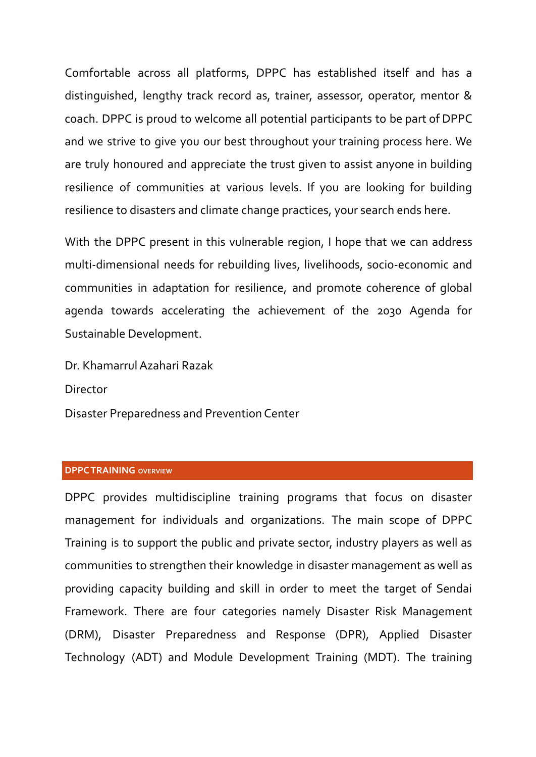Comfortable across all platforms, DPPC has established itself and has a distinguished, lengthy track record as, trainer, assessor, operator, mentor & coach. DPPC is proud to welcome all potential participants to be part of DPPC and we strive to give you our best throughout your training process here. We are truly honoured and appreciate the trust given to assist anyone in building resilience of communities at various levels. If you are looking for building resilience to disasters and climate change practices, your search ends here.

With the DPPC present in this vulnerable region, I hope that we can address multi-dimensional needs for rebuilding lives, livelihoods, socio-economic and communities in adaptation for resilience, and promote coherence of global agenda towards accelerating the achievement of the 2030 Agenda for Sustainable Development.

Dr. KhamarrulAzahari Razak

Director

Disaster Preparedness and Prevention Center

#### **DPPCTRAINING OVERVIEW**

DPPC provides multidiscipline training programs that focus on disaster management for individuals and organizations. The main scope of DPPC Training is to support the public and private sector, industry players as well as communities to strengthen their knowledge in disaster management as well as providing capacity building and skill in order to meet the target of Sendai Framework. There are four categories namely Disaster Risk Management (DRM), Disaster Preparedness and Response (DPR), Applied Disaster Technology (ADT) and Module Development Training (MDT). The training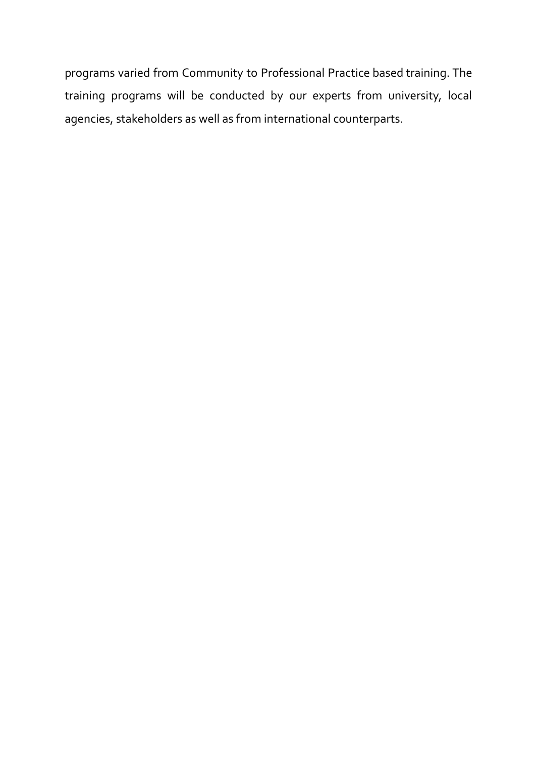programs varied from Community to Professional Practice based training. The training programs will be conducted by our experts from university, local agencies, stakeholders as well as from international counterparts.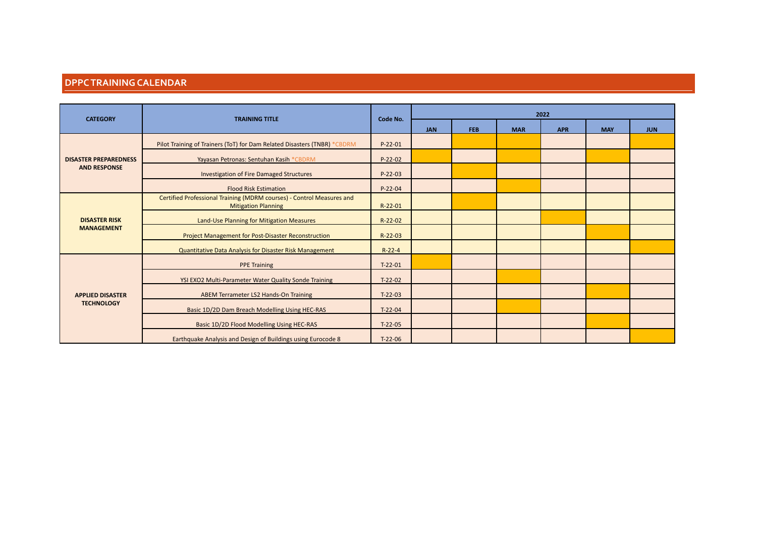#### **DPPCTRAININGCALENDAR**

| <b>CATEGORY</b>                              | <b>TRAINING TITLE</b>                                                                               | Code No.  | 2022       |            |            |            |            |            |
|----------------------------------------------|-----------------------------------------------------------------------------------------------------|-----------|------------|------------|------------|------------|------------|------------|
|                                              |                                                                                                     |           | <b>JAN</b> | <b>FEB</b> | <b>MAR</b> | <b>APR</b> | <b>MAY</b> | <b>JUN</b> |
|                                              | Pilot Training of Trainers (ToT) for Dam Related Disasters (TNBR) *CBDRM                            | $P-22-01$ |            |            |            |            |            |            |
| <b>DISASTER PREPAREDNESS</b>                 | Yayasan Petronas: Sentuhan Kasih *CBDRM                                                             | $P-22-02$ |            |            |            |            |            |            |
| <b>AND RESPONSE</b>                          | Investigation of Fire Damaged Structures                                                            | $P-22-03$ |            |            |            |            |            |            |
|                                              | <b>Flood Risk Estimation</b>                                                                        | $P-22-04$ |            |            |            |            |            |            |
|                                              | Certified Professional Training (MDRM courses) - Control Measures and<br><b>Mitigation Planning</b> | $R-22-01$ |            |            |            |            |            |            |
| <b>DISASTER RISK</b><br><b>MANAGEMENT</b>    | Land-Use Planning for Mitigation Measures                                                           | R-22-02   |            |            |            |            |            |            |
|                                              | Project Management for Post-Disaster Reconstruction                                                 | $R-22-03$ |            |            |            |            |            |            |
|                                              | Quantitative Data Analysis for Disaster Risk Management                                             | $R-22-4$  |            |            |            |            |            |            |
|                                              | <b>PPE Training</b>                                                                                 | $T-22-01$ |            |            |            |            |            |            |
|                                              | YSI EXO2 Multi-Parameter Water Quality Sonde Training                                               | $T-22-02$ |            |            |            |            |            |            |
| <b>APPLIED DISASTER</b><br><b>TECHNOLOGY</b> | ABEM Terrameter LS2 Hands-On Training                                                               | $T-22-03$ |            |            |            |            |            |            |
|                                              | Basic 1D/2D Dam Breach Modelling Using HEC-RAS                                                      | $T-22-04$ |            |            |            |            |            |            |
|                                              | Basic 1D/2D Flood Modelling Using HEC-RAS                                                           | $T-22-05$ |            |            |            |            |            |            |
|                                              | Earthquake Analysis and Design of Buildings using Eurocode 8                                        | $T-22-06$ |            |            |            |            |            |            |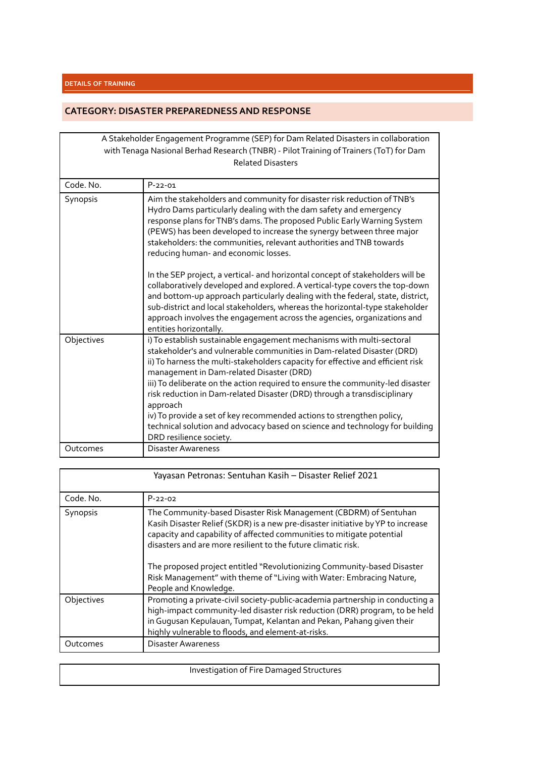#### **CATEGORY: DISASTER PREPAREDNESSAND RESPONSE**

|            | A Stakeholder Engagement Programme (SEP) for Dam Related Disasters in collaboration<br>with Tenaga Nasional Berhad Research (TNBR) - Pilot Training of Trainers (ToT) for Dam<br><b>Related Disasters</b>                                                                                                                                                                                                                                                                                                                                                                                                                                    |
|------------|----------------------------------------------------------------------------------------------------------------------------------------------------------------------------------------------------------------------------------------------------------------------------------------------------------------------------------------------------------------------------------------------------------------------------------------------------------------------------------------------------------------------------------------------------------------------------------------------------------------------------------------------|
| Code. No.  | $P-22-01$                                                                                                                                                                                                                                                                                                                                                                                                                                                                                                                                                                                                                                    |
| Synopsis   | Aim the stakeholders and community for disaster risk reduction of TNB's<br>Hydro Dams particularly dealing with the dam safety and emergency<br>response plans for TNB's dams. The proposed Public Early Warning System<br>(PEWS) has been developed to increase the synergy between three major<br>stakeholders: the communities, relevant authorities and TNB towards<br>reducing human- and economic losses.                                                                                                                                                                                                                              |
|            | In the SEP project, a vertical- and horizontal concept of stakeholders will be<br>collaboratively developed and explored. A vertical-type covers the top-down<br>and bottom-up approach particularly dealing with the federal, state, district,<br>sub-district and local stakeholders, whereas the horizontal-type stakeholder<br>approach involves the engagement across the agencies, organizations and<br>entities horizontally.                                                                                                                                                                                                         |
| Objectives | i) To establish sustainable engagement mechanisms with multi-sectoral<br>stakeholder's and vulnerable communities in Dam-related Disaster (DRD)<br>ii) To harness the multi-stakeholders capacity for effective and efficient risk<br>management in Dam-related Disaster (DRD)<br>iii) To deliberate on the action required to ensure the community-led disaster<br>risk reduction in Dam-related Disaster (DRD) through a transdisciplinary<br>approach<br>iv) To provide a set of key recommended actions to strengthen policy,<br>technical solution and advocacy based on science and technology for building<br>DRD resilience society. |
| Outcomes   | Disaster Awareness                                                                                                                                                                                                                                                                                                                                                                                                                                                                                                                                                                                                                           |

|            | Yayasan Petronas: Sentuhan Kasih - Disaster Relief 2021                                                                                                                                                                                                                                                                                                                                                                                                                   |
|------------|---------------------------------------------------------------------------------------------------------------------------------------------------------------------------------------------------------------------------------------------------------------------------------------------------------------------------------------------------------------------------------------------------------------------------------------------------------------------------|
| Code, No.  | $P - 22 - 02$                                                                                                                                                                                                                                                                                                                                                                                                                                                             |
| Synopsis   | The Community-based Disaster Risk Management (CBDRM) of Sentuhan<br>Kasih Disaster Relief (SKDR) is a new pre-disaster initiative by YP to increase<br>capacity and capability of affected communities to mitigate potential<br>disasters and are more resilient to the future climatic risk.<br>The proposed project entitled "Revolutionizing Community-based Disaster<br>Risk Management" with theme of "Living with Water: Embracing Nature,<br>People and Knowledge. |
| Objectives | Promoting a private-civil society-public-academia partnership in conducting a<br>high-impact community-led disaster risk reduction (DRR) program, to be held<br>in Gugusan Kepulauan, Tumpat, Kelantan and Pekan, Pahang given their<br>highly vulnerable to floods, and element-at-risks.                                                                                                                                                                                |
| Outcomes   | <b>Disaster Awareness</b>                                                                                                                                                                                                                                                                                                                                                                                                                                                 |

| Investigation of Fire Damaged Structures |
|------------------------------------------|
|                                          |

Ш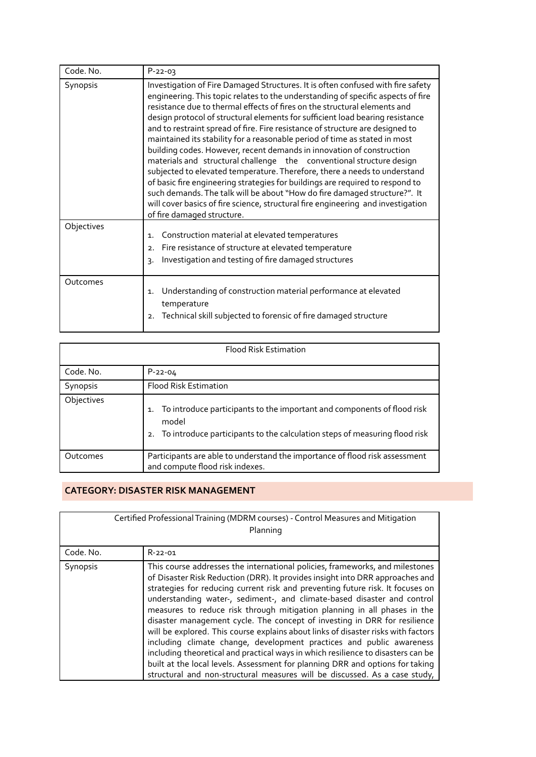| Code. No.  | $P-22-03$                                                                                                                                                                                                                                                                                                                                                                                                                                                                                                                                                                                                                                                                                                                                                                                                                                                                                                                                                                                                      |
|------------|----------------------------------------------------------------------------------------------------------------------------------------------------------------------------------------------------------------------------------------------------------------------------------------------------------------------------------------------------------------------------------------------------------------------------------------------------------------------------------------------------------------------------------------------------------------------------------------------------------------------------------------------------------------------------------------------------------------------------------------------------------------------------------------------------------------------------------------------------------------------------------------------------------------------------------------------------------------------------------------------------------------|
| Synopsis   | Investigation of Fire Damaged Structures. It is often confused with fire safety<br>engineering. This topic relates to the understanding of specific aspects of fire<br>resistance due to thermal effects of fires on the structural elements and<br>design protocol of structural elements for sufficient load bearing resistance<br>and to restraint spread of fire. Fire resistance of structure are designed to<br>maintained its stability for a reasonable period of time as stated in most<br>building codes. However, recent demands in innovation of construction<br>materials and structural challenge the conventional structure design<br>subjected to elevated temperature. Therefore, there a needs to understand<br>of basic fire engineering strategies for buildings are required to respond to<br>such demands. The talk will be about "How do fire damaged structure?". It<br>will cover basics of fire science, structural fire engineering and investigation<br>of fire damaged structure. |
| Objectives | Construction material at elevated temperatures<br>1.<br>Fire resistance of structure at elevated temperature<br>2.<br>Investigation and testing of fire damaged structures<br>3.                                                                                                                                                                                                                                                                                                                                                                                                                                                                                                                                                                                                                                                                                                                                                                                                                               |
| Outcomes   | Understanding of construction material performance at elevated<br>1.<br>temperature<br>Technical skill subjected to forensic of fire damaged structure<br>2.                                                                                                                                                                                                                                                                                                                                                                                                                                                                                                                                                                                                                                                                                                                                                                                                                                                   |

|            | <b>Flood Risk Estimation</b>                                                                                                                                               |
|------------|----------------------------------------------------------------------------------------------------------------------------------------------------------------------------|
| Code, No.  | $P - 22 - 04$                                                                                                                                                              |
| Synopsis   | Flood Risk Estimation                                                                                                                                                      |
| Objectives | To introduce participants to the important and components of flood risk<br>1.<br>model<br>To introduce participants to the calculation steps of measuring flood risk<br>2. |
| Outcomes   | Participants are able to understand the importance of flood risk assessment<br>and compute flood risk indexes.                                                             |

#### **CATEGORY: DISASTER RISK MANAGEMENT**

|                 | Certified Professional Training (MDRM courses) - Control Measures and Mitigation<br>Planning                                                                                                                                                                                                                                                                                                                                                                                                                                                                                                                                                                                                                                                                                                                                                                                                        |
|-----------------|-----------------------------------------------------------------------------------------------------------------------------------------------------------------------------------------------------------------------------------------------------------------------------------------------------------------------------------------------------------------------------------------------------------------------------------------------------------------------------------------------------------------------------------------------------------------------------------------------------------------------------------------------------------------------------------------------------------------------------------------------------------------------------------------------------------------------------------------------------------------------------------------------------|
| Code. No.       | $R - 22 - 01$                                                                                                                                                                                                                                                                                                                                                                                                                                                                                                                                                                                                                                                                                                                                                                                                                                                                                       |
| <b>Synopsis</b> | This course addresses the international policies, frameworks, and milestones<br>of Disaster Risk Reduction (DRR). It provides insight into DRR approaches and<br>strategies for reducing current risk and preventing future risk. It focuses on<br>understanding water-, sediment-, and climate-based disaster and control<br>measures to reduce risk through mitigation planning in all phases in the<br>disaster management cycle. The concept of investing in DRR for resilience<br>will be explored. This course explains about links of disaster risks with factors<br>including climate change, development practices and public awareness<br>including theoretical and practical ways in which resilience to disasters can be<br>built at the local levels. Assessment for planning DRR and options for taking<br>structural and non-structural measures will be discussed. As a case study, |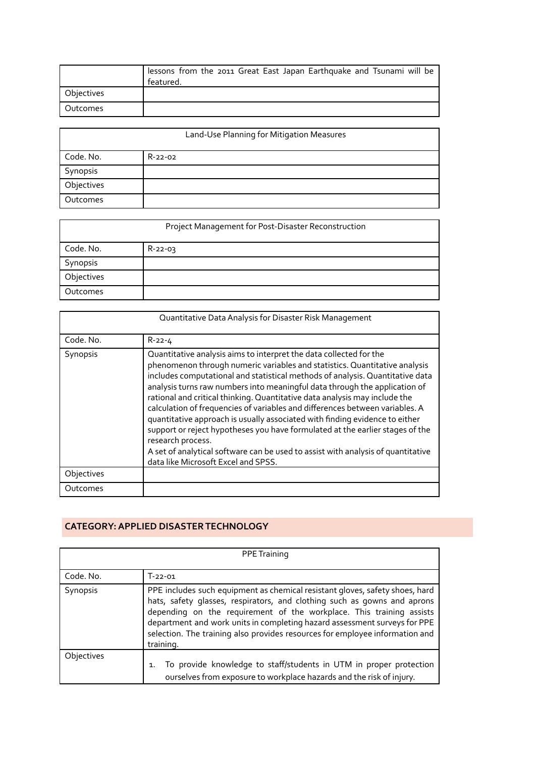|            | lessons from the 2011 Great East Japan Earthquake and Tsunami will be<br>featured. |
|------------|------------------------------------------------------------------------------------|
| Objectives |                                                                                    |
| Outcomes   |                                                                                    |

|            | Land-Use Planning for Mitigation Measures |
|------------|-------------------------------------------|
| Code. No.  | $R-22-02$                                 |
| Synopsis   |                                           |
| Objectives |                                           |
| Outcomes   |                                           |

| Project Management for Post-Disaster Reconstruction |           |  |
|-----------------------------------------------------|-----------|--|
| Code. No.                                           | $R-22-03$ |  |
| Synopsis                                            |           |  |
| Objectives                                          |           |  |
| Outcomes                                            |           |  |

|            | Quantitative Data Analysis for Disaster Risk Management                                                                                                                                                                                                                                                                                                                                                                                                                                                                                                                                                                                                                                                                                                                                       |
|------------|-----------------------------------------------------------------------------------------------------------------------------------------------------------------------------------------------------------------------------------------------------------------------------------------------------------------------------------------------------------------------------------------------------------------------------------------------------------------------------------------------------------------------------------------------------------------------------------------------------------------------------------------------------------------------------------------------------------------------------------------------------------------------------------------------|
| Code, No.  | $R - 22 - 4$                                                                                                                                                                                                                                                                                                                                                                                                                                                                                                                                                                                                                                                                                                                                                                                  |
| Synopsis   | Quantitative analysis aims to interpret the data collected for the<br>phenomenon through numeric variables and statistics. Quantitative analysis<br>includes computational and statistical methods of analysis. Quantitative data<br>analysis turns raw numbers into meaningful data through the application of<br>rational and critical thinking. Quantitative data analysis may include the<br>calculation of frequencies of variables and differences between variables. A<br>quantitative approach is usually associated with finding evidence to either<br>support or reject hypotheses you have formulated at the earlier stages of the<br>research process.<br>A set of analytical software can be used to assist with analysis of quantitative<br>data like Microsoft Excel and SPSS. |
| Objectives |                                                                                                                                                                                                                                                                                                                                                                                                                                                                                                                                                                                                                                                                                                                                                                                               |
| Outcomes   |                                                                                                                                                                                                                                                                                                                                                                                                                                                                                                                                                                                                                                                                                                                                                                                               |

#### **CATEGORY:APPLIED DISASTERTECHNOLOGY**

|            | <b>PPE Training</b>                                                                                                                                                                                                                                                                                                                                                                                        |
|------------|------------------------------------------------------------------------------------------------------------------------------------------------------------------------------------------------------------------------------------------------------------------------------------------------------------------------------------------------------------------------------------------------------------|
| Code. No.  | $T-22-01$                                                                                                                                                                                                                                                                                                                                                                                                  |
| Synopsis   | PPE includes such equipment as chemical resistant gloves, safety shoes, hard<br>hats, safety glasses, respirators, and clothing such as gowns and aprons<br>depending on the requirement of the workplace. This training assists<br>department and work units in completing hazard assessment surveys for PPE<br>selection. The training also provides resources for employee information and<br>training. |
| Objectives | To provide knowledge to staff/students in UTM in proper protection<br>$\mathbf{1}$ .<br>ourselves from exposure to workplace hazards and the risk of injury.                                                                                                                                                                                                                                               |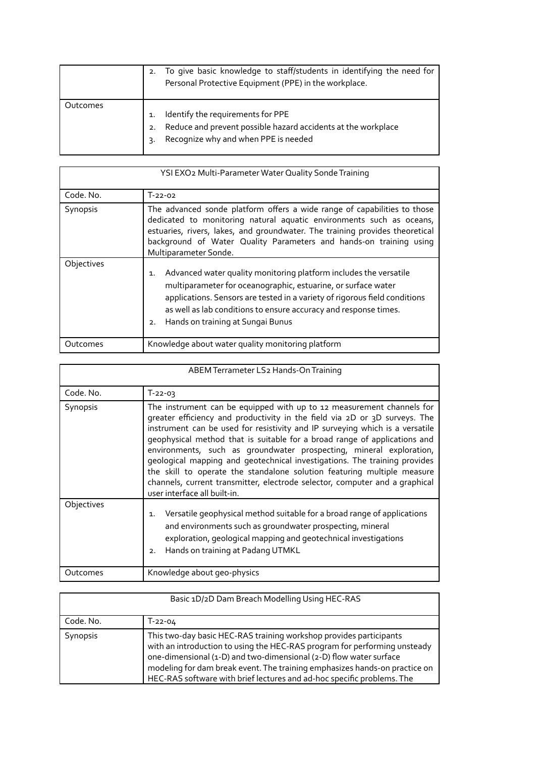|          | 2. | To give basic knowledge to staff/students in identifying the need for<br>Personal Protective Equipment (PPE) in the workplace.             |  |
|----------|----|--------------------------------------------------------------------------------------------------------------------------------------------|--|
| Outcomes |    | Identify the requirements for PPE<br>Reduce and prevent possible hazard accidents at the workplace<br>Recognize why and when PPE is needed |  |

| YSI EXO2 Multi-Parameter Water Quality Sonde Training |                                                                                                                                                                                                                                                                                                                                       |  |
|-------------------------------------------------------|---------------------------------------------------------------------------------------------------------------------------------------------------------------------------------------------------------------------------------------------------------------------------------------------------------------------------------------|--|
| Code, No.                                             | $T - 22 - 02$                                                                                                                                                                                                                                                                                                                         |  |
| Synopsis                                              | The advanced sonde platform offers a wide range of capabilities to those<br>dedicated to monitoring natural aquatic environments such as oceans,<br>estuaries, rivers, lakes, and groundwater. The training provides theoretical<br>background of Water Quality Parameters and hands-on training using<br>Multiparameter Sonde.       |  |
| Objectives                                            | Advanced water quality monitoring platform includes the versatile<br>1.<br>multiparameter for oceanographic, estuarine, or surface water<br>applications. Sensors are tested in a variety of rigorous field conditions<br>as well as lab conditions to ensure accuracy and response times.<br>Hands on training at Sungai Bunus<br>2. |  |
| Outcomes                                              | Knowledge about water quality monitoring platform                                                                                                                                                                                                                                                                                     |  |

| ABEM Terrameter LS2 Hands-On Training                                                                                                                                                                                                                                  |                                                                                                                                                                                                                                                                                                                                                                                                                                                                                                                                                                                                                                                                |  |
|------------------------------------------------------------------------------------------------------------------------------------------------------------------------------------------------------------------------------------------------------------------------|----------------------------------------------------------------------------------------------------------------------------------------------------------------------------------------------------------------------------------------------------------------------------------------------------------------------------------------------------------------------------------------------------------------------------------------------------------------------------------------------------------------------------------------------------------------------------------------------------------------------------------------------------------------|--|
| Code, No.                                                                                                                                                                                                                                                              | $T-22-03$                                                                                                                                                                                                                                                                                                                                                                                                                                                                                                                                                                                                                                                      |  |
| Synopsis                                                                                                                                                                                                                                                               | The instrument can be equipped with up to 12 measurement channels for<br>greater efficiency and productivity in the field via 2D or 3D surveys. The<br>instrument can be used for resistivity and IP surveying which is a versatile<br>geophysical method that is suitable for a broad range of applications and<br>environments, such as groundwater prospecting, mineral exploration,<br>geological mapping and geotechnical investigations. The training provides<br>the skill to operate the standalone solution featuring multiple measure<br>channels, current transmitter, electrode selector, computer and a graphical<br>user interface all built-in. |  |
| Objectives<br>Versatile geophysical method suitable for a broad range of applications<br>1.<br>and environments such as groundwater prospecting, mineral<br>exploration, geological mapping and geotechnical investigations<br>Hands on training at Padang UTMKL<br>2. |                                                                                                                                                                                                                                                                                                                                                                                                                                                                                                                                                                                                                                                                |  |
| Outcomes                                                                                                                                                                                                                                                               | Knowledge about geo-physics                                                                                                                                                                                                                                                                                                                                                                                                                                                                                                                                                                                                                                    |  |

| Basic 1D/2D Dam Breach Modelling Using HEC-RAS |                                                                                                                                                                                                                                                                                                                                                                               |  |
|------------------------------------------------|-------------------------------------------------------------------------------------------------------------------------------------------------------------------------------------------------------------------------------------------------------------------------------------------------------------------------------------------------------------------------------|--|
| Code, No.                                      | T-22-04                                                                                                                                                                                                                                                                                                                                                                       |  |
| Synopsis                                       | This two-day basic HEC-RAS training workshop provides participants<br>with an introduction to using the HEC-RAS program for performing unsteady<br>one-dimensional (1-D) and two-dimensional (2-D) flow water surface<br>modeling for dam break event. The training emphasizes hands-on practice on<br>HEC-RAS software with brief lectures and ad-hoc specific problems. The |  |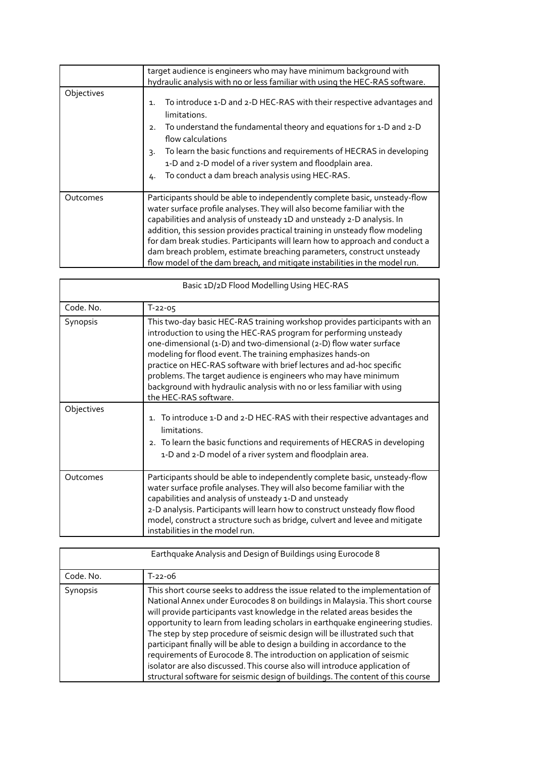|            | target audience is engineers who may have minimum background with<br>hydraulic analysis with no or less familiar with using the HEC-RAS software.                                                                                                                                                                                                                                                                                                                                                                                                      |  |  |
|------------|--------------------------------------------------------------------------------------------------------------------------------------------------------------------------------------------------------------------------------------------------------------------------------------------------------------------------------------------------------------------------------------------------------------------------------------------------------------------------------------------------------------------------------------------------------|--|--|
| Objectives | To introduce 1-D and 2-D HEC-RAS with their respective advantages and<br>$\mathbf{1}$ .<br>limitations.<br>To understand the fundamental theory and equations for 1-D and 2-D<br>2.<br>flow calculations<br>To learn the basic functions and requirements of HECRAS in developing<br>3.<br>1-D and 2-D model of a river system and floodplain area.<br>To conduct a dam breach analysis using HEC-RAS.<br>4.                                                                                                                                           |  |  |
| Outcomes   | Participants should be able to independently complete basic, unsteady-flow<br>water surface profile analyses. They will also become familiar with the<br>capabilities and analysis of unsteady 1D and unsteady 2-D analysis. In<br>addition, this session provides practical training in unsteady flow modeling<br>for dam break studies. Participants will learn how to approach and conduct a<br>dam breach problem, estimate breaching parameters, construct unsteady<br>flow model of the dam breach, and mitigate instabilities in the model run. |  |  |

| Basic 1D/2D Flood Modelling Using HEC-RAS |                                                                                                                                                                                                                                                                                                                                                                                                                                                                                                                                   |  |
|-------------------------------------------|-----------------------------------------------------------------------------------------------------------------------------------------------------------------------------------------------------------------------------------------------------------------------------------------------------------------------------------------------------------------------------------------------------------------------------------------------------------------------------------------------------------------------------------|--|
| Code. No.                                 | $T - 22 - 05$                                                                                                                                                                                                                                                                                                                                                                                                                                                                                                                     |  |
| Synopsis                                  | This two-day basic HEC-RAS training workshop provides participants with an<br>introduction to using the HEC-RAS program for performing unsteady<br>one-dimensional (1-D) and two-dimensional (2-D) flow water surface<br>modeling for flood event. The training emphasizes hands-on<br>practice on HEC-RAS software with brief lectures and ad-hoc specific<br>problems. The target audience is engineers who may have minimum<br>background with hydraulic analysis with no or less familiar with using<br>the HEC-RAS software. |  |
| Objectives                                | 1. To introduce 1-D and 2-D HEC-RAS with their respective advantages and<br>limitations.<br>2. To learn the basic functions and requirements of HECRAS in developing<br>1-D and 2-D model of a river system and floodplain area.                                                                                                                                                                                                                                                                                                  |  |
| Outcomes                                  | Participants should be able to independently complete basic, unsteady-flow<br>water surface profile analyses. They will also become familiar with the<br>capabilities and analysis of unsteady 1-D and unsteady<br>2-D analysis. Participants will learn how to construct unsteady flow flood<br>model, construct a structure such as bridge, culvert and levee and mitigate<br>instabilities in the model run.                                                                                                                   |  |

| Earthquake Analysis and Design of Buildings using Eurocode 8 |                                                                                                                                                                                                                                                                                                                                                                                                                                                                                                                                                                                                                                                                                                                                     |  |  |
|--------------------------------------------------------------|-------------------------------------------------------------------------------------------------------------------------------------------------------------------------------------------------------------------------------------------------------------------------------------------------------------------------------------------------------------------------------------------------------------------------------------------------------------------------------------------------------------------------------------------------------------------------------------------------------------------------------------------------------------------------------------------------------------------------------------|--|--|
| Code, No.                                                    | $T - 22 - 06$                                                                                                                                                                                                                                                                                                                                                                                                                                                                                                                                                                                                                                                                                                                       |  |  |
| Synopsis                                                     | This short course seeks to address the issue related to the implementation of<br>National Annex under Eurocodes 8 on buildings in Malaysia. This short course<br>will provide participants vast knowledge in the related areas besides the<br>opportunity to learn from leading scholars in earthquake engineering studies.<br>The step by step procedure of seismic design will be illustrated such that<br>participant finally will be able to design a building in accordance to the<br>requirements of Eurocode 8. The introduction on application of seismic<br>isolator are also discussed. This course also will introduce application of<br>structural software for seismic design of buildings. The content of this course |  |  |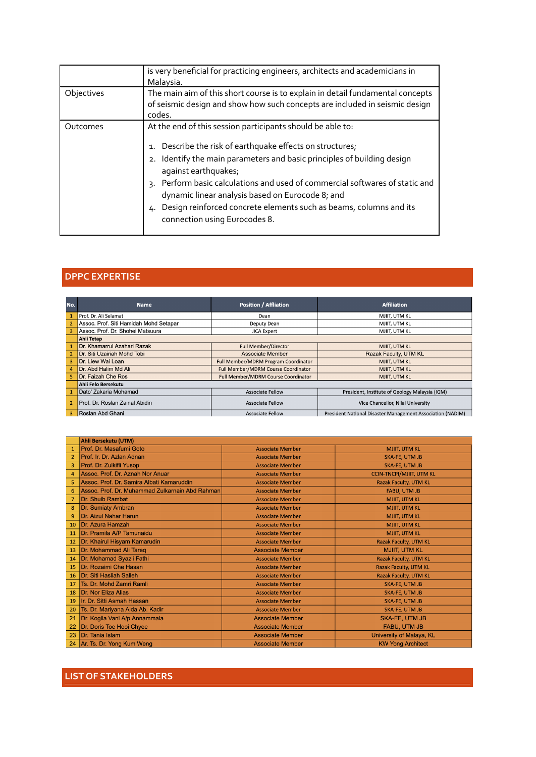|            | is very beneficial for practicing engineers, architects and academicians in<br>Malaysia.                                                                                                                                                                                                                                                                                                                                                                                       |  |
|------------|--------------------------------------------------------------------------------------------------------------------------------------------------------------------------------------------------------------------------------------------------------------------------------------------------------------------------------------------------------------------------------------------------------------------------------------------------------------------------------|--|
| Objectives | The main aim of this short course is to explain in detail fundamental concepts<br>of seismic design and show how such concepts are included in seismic design<br>codes.                                                                                                                                                                                                                                                                                                        |  |
| Outcomes   | At the end of this session participants should be able to:<br>1. Describe the risk of earthquake effects on structures;<br>2. Identify the main parameters and basic principles of building design<br>against earthquakes;<br>Perform basic calculations and used of commercial softwares of static and<br>3.<br>dynamic linear analysis based on Eurocode 8; and<br>Design reinforced concrete elements such as beams, columns and its<br>4.<br>connection using Eurocodes 8. |  |

#### **DPPC EXPERTISE**

| No.            | Name                                   | <b>Position / Affliation</b>         | <b>Affiliation</b>                                         |  |
|----------------|----------------------------------------|--------------------------------------|------------------------------------------------------------|--|
|                | Prof. Dr. Ali Selamat                  | Dean                                 | MJIIT, UTM KL                                              |  |
| $\overline{2}$ | Assoc. Prof. Siti Hamidah Mohd Setapar | Deputy Dean                          | MJIIT. UTM KL                                              |  |
| 3              | Assoc. Prof. Dr. Shohei Matsuura       | <b>JICA Expert</b>                   | MJIIT, UTM KL                                              |  |
|                | <b>Ahli Tetap</b>                      |                                      |                                                            |  |
|                | Dr. Khamarrul Azahari Razak            | <b>Full Member/Director</b>          | MJIIT, UTM KL                                              |  |
| $\overline{2}$ | Dr. Siti Uzairiah Mohd Tobi            | Associate Member                     | Razak Faculty, UTM KL                                      |  |
| 3              | Dr. Liew Wai Loan                      | Full Member/MDRM Program Coordinator | <b>MJIIT, UTM KL</b>                                       |  |
| $\overline{a}$ | Dr. Abd Halim Md Ali                   | Full Member/MDRM Course Coordinator  | MJIIT, UTM KL                                              |  |
|                | Dr. Faizah Che Ros                     | Full Member/MDRM Course Coordinator  | MJIIT, UTM KL                                              |  |
|                | Ahli Felo Bersekutu                    |                                      |                                                            |  |
|                | Dato' Zakaria Mohamad                  | <b>Associate Fellow</b>              | President, Institute of Geology Malaysia (IGM)             |  |
| $\overline{2}$ | Prof. Dr. Roslan Zainal Abidin         | <b>Associate Fellow</b>              | Vice Chancellor, Nilai University                          |  |
| 3              | Roslan Abd Ghani                       | <b>Associate Fellow</b>              | President National Disaster Management Association (NADIM) |  |

|                | Ahli Bersekutu (UTM)                            |                         |                                 |
|----------------|-------------------------------------------------|-------------------------|---------------------------------|
|                | Prof. Dr. Masafumi Goto                         | <b>Associate Member</b> | <b>MJIIT, UTM KL</b>            |
| $\overline{2}$ | Prof. Ir. Dr. Azlan Adnan                       | <b>Associate Member</b> | SKA-FE, UTM JB                  |
| 3              | Prof. Dr. Zulkifli Yusop                        | <b>Associate Member</b> | <b>SKA-FE, UTM JB</b>           |
| 4              | Assoc. Prof. Dr. Aznah Nor Anuar                | <b>Associate Member</b> | <b>CCIN-TNCPI/MJIIT, UTM KL</b> |
| 5.             | Assoc. Prof. Dr. Samira Albati Kamaruddin       | <b>Associate Member</b> | <b>Razak Faculty, UTM KL</b>    |
| 6              | Assoc. Prof. Dr. Muhammad Zulkarnain Abd Rahman | <b>Associate Member</b> | <b>FABU, UTM JB</b>             |
| 7              | Dr. Shuib Rambat                                | <b>Associate Member</b> | <b>MJIIT, UTM KL</b>            |
| 8              | Dr. Sumiaty Ambran                              | <b>Associate Member</b> | <b>MJIIT, UTM KL</b>            |
| $\overline{9}$ | Dr. Aizul Nahar Harun                           | <b>Associate Member</b> | <b>MJIIT, UTM KL</b>            |
| 10             | Dr. Azura Hamzah                                | <b>Associate Member</b> | <b>MJIIT, UTM KL</b>            |
| 11             | Dr. Pramila A/P Tamunaidu                       | <b>Associate Member</b> | <b>MJIIT, UTM KL</b>            |
| 12             | Dr. Khairul Hisyam Kamarudin                    | <b>Associate Member</b> | Razak Faculty, UTM KL           |
| 13             | Dr. Mohammad Ali Tareq                          | <b>Associate Member</b> | <b>MJIIT, UTM KL</b>            |
| 14             | Dr. Mohamad Syazli Fathi                        | <b>Associate Member</b> | <b>Razak Faculty, UTM KL</b>    |
| 15             | Dr. Rozaimi Che Hasan                           | <b>Associate Member</b> | Razak Faculty, UTM KL           |
| 16             | Dr. Siti Hasliah Salleh                         | <b>Associate Member</b> | <b>Razak Faculty, UTM KL</b>    |
| 17             | Ts. Dr. Mohd Zamri Ramli                        | <b>Associate Member</b> | SKA-FE, UTM JB                  |
| 18             | Dr. Nor Eliza Alias                             | <b>Associate Member</b> | SKA-FE, UTM JB                  |
| 19             | Ir. Dr. Sitti Asmah Hassan                      | <b>Associate Member</b> | SKA-FE, UTM JB                  |
| 20             | Ts. Dr. Mariyana Aida Ab. Kadir                 | <b>Associate Member</b> | SKA-FE, UTM JB                  |
| 21             | Dr. Kogila Vani A/p Annammala                   | <b>Associate Member</b> | SKA-FE, UTM JB                  |
| 22             | Dr. Doris Toe Hooi Chyee                        | <b>Associate Member</b> | <b>FABU, UTM JB</b>             |
| 23             | Dr. Tania Islam                                 | <b>Associate Member</b> | University of Malaya, KL        |
| 24             | Ar. Ts. Dr. Yong Kum Weng                       | <b>Associate Member</b> | <b>KW Yong Architect</b>        |

#### **LIST OF STAKEHOLDERS**